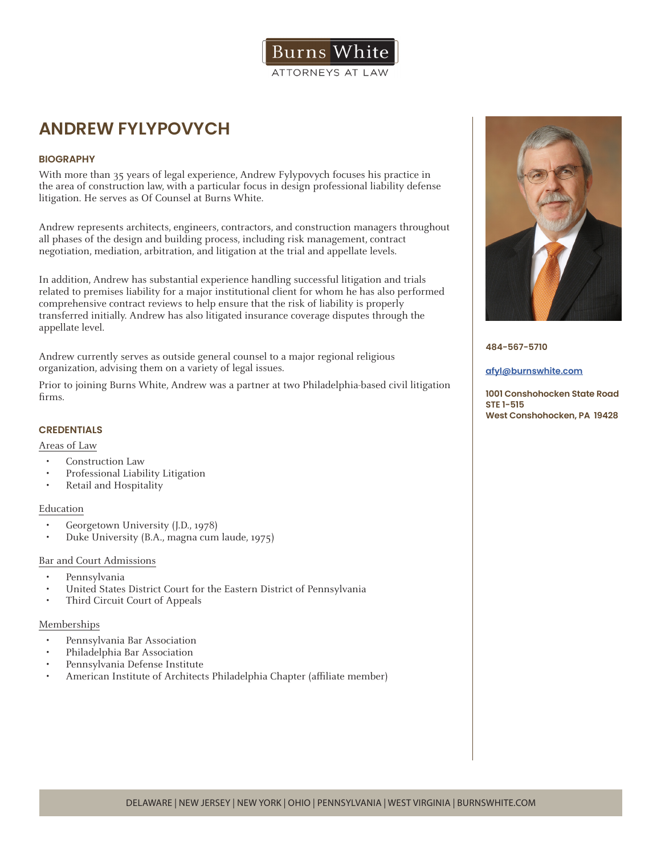

# **ANDREW FYLYPOVYCH**

# **BIOGRAPHY**

With more than 35 years of legal experience, Andrew Fylypovych focuses his practice in the area of construction law, with a particular focus in design professional liability defense litigation. He serves as Of Counsel at Burns White.

Andrew represents architects, engineers, contractors, and construction managers throughout all phases of the design and building process, including risk management, contract negotiation, mediation, arbitration, and litigation at the trial and appellate levels.

In addition, Andrew has substantial experience handling successful litigation and trials related to premises liability for a major institutional client for whom he has also performed comprehensive contract reviews to help ensure that the risk of liability is properly transferred initially. Andrew has also litigated insurance coverage disputes through the appellate level.

Andrew currently serves as outside general counsel to a major regional religious organization, advising them on a variety of legal issues.

Prior to joining Burns White, Andrew was a partner at two Philadelphia-based civil litigation firms.

# **CREDENTIALS**

Areas of Law

- Construction Law
- Professional Liability Litigation
- Retail and Hospitality

# Education

- Georgetown University (J.D., 1978)
- Duke University (B.A., magna cum laude, 1975)

## Bar and Court Admissions

- Pennsylvania
- United States District Court for the Eastern District of Pennsylvania
- Third Circuit Court of Appeals

## Memberships

- Pennsylvania Bar Association
- Philadelphia Bar Association
- Pennsylvania Defense Institute
- American Institute of Architects Philadelphia Chapter (affiliate member)



**484-567-5710**

#### **afyl@burnswhite.com**

**1001 Conshohocken State Road STE 1-515 West Conshohocken, PA 19428**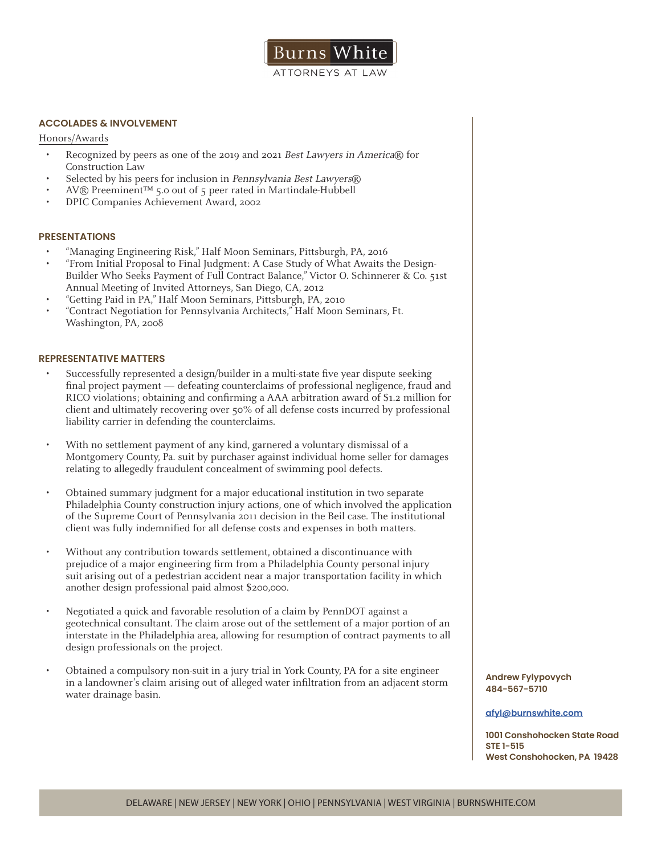

# **ACCOLADES & INVOLVEMENT**

Honors/Awards

- Recognized by peers as one of the 2019 and 2021 Best Lawyers in America® for Construction Law
- Selected by his peers for inclusion in Pennsylvania Best Lawyers®
- AV® Preeminent™ 5.0 out of 5 peer rated in Martindale-Hubbell
- DPIC Companies Achievement Award, 2002

## **PRESENTATIONS**

- "Managing Engineering Risk," Half Moon Seminars, Pittsburgh, PA, 2016
- "From Initial Proposal to Final Judgment: A Case Study of What Awaits the Design-Builder Who Seeks Payment of Full Contract Balance," Victor O. Schinnerer & Co. 51st Annual Meeting of Invited Attorneys, San Diego, CA, 2012
- "Getting Paid in PA," Half Moon Seminars, Pittsburgh, PA, 2010
- "Contract Negotiation for Pennsylvania Architects," Half Moon Seminars, Ft. Washington, PA, 2008

#### **REPRESENTATIVE MATTERS**

- Successfully represented a design/builder in a multi-state five year dispute seeking final project payment — defeating counterclaims of professional negligence, fraud and RICO violations; obtaining and confirming a AAA arbitration award of \$1.2 million for client and ultimately recovering over 50% of all defense costs incurred by professional liability carrier in defending the counterclaims.
- With no settlement payment of any kind, garnered a voluntary dismissal of a Montgomery County, Pa. suit by purchaser against individual home seller for damages relating to allegedly fraudulent concealment of swimming pool defects.
- Obtained summary judgment for a major educational institution in two separate Philadelphia County construction injury actions, one of which involved the application of the Supreme Court of Pennsylvania 2011 decision in the Beil case. The institutional client was fully indemnified for all defense costs and expenses in both matters.
- Without any contribution towards settlement, obtained a discontinuance with prejudice of a major engineering firm from a Philadelphia County personal injury suit arising out of a pedestrian accident near a major transportation facility in which another design professional paid almost \$200,000.
- Negotiated a quick and favorable resolution of a claim by PennDOT against a geotechnical consultant. The claim arose out of the settlement of a major portion of an interstate in the Philadelphia area, allowing for resumption of contract payments to all design professionals on the project.
- Obtained a compulsory non-suit in a jury trial in York County, PA for a site engineer in a landowner's claim arising out of alleged water infiltration from an adjacent storm water drainage basin.

**Andrew Fylypovych 484-567-5710**

#### **afyl@burnswhite.com**

**1001 Conshohocken State Road STE 1-515 West Conshohocken, PA 19428**